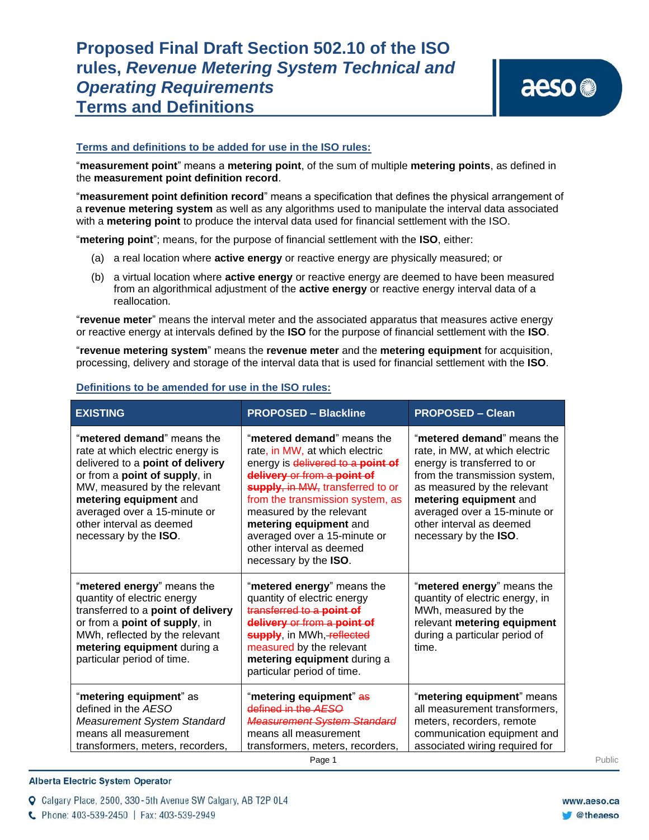## **Terms and definitions to be added for use in the ISO rules:**

"**measurement point**" means a **metering point**, of the sum of multiple **metering points**, as defined in the **measurement point definition record**.

"**measurement point definition record**" means a specification that defines the physical arrangement of a **revenue metering system** as well as any algorithms used to manipulate the interval data associated with a **metering point** to produce the interval data used for financial settlement with the ISO.

"**metering point**"; means, for the purpose of financial settlement with the **ISO**, either:

- (a) a real location where **active energy** or reactive energy are physically measured; or
- (b) a virtual location where **active energy** or reactive energy are deemed to have been measured from an algorithmical adjustment of the **active energy** or reactive energy interval data of a reallocation.

"**revenue meter**" means the interval meter and the associated apparatus that measures active energy or reactive energy at intervals defined by the **ISO** for the purpose of financial settlement with the **ISO**.

"**revenue metering system**" means the **revenue meter** and the **metering equipment** for acquisition, processing, delivery and storage of the interval data that is used for financial settlement with the **ISO**.

| <b>EXISTING</b>                                                                                                                                                                                                                                                                    | <b>PROPOSED - Blackline</b>                                                                                                                                                                                                                                                                                                                         | <b>PROPOSED - Clean</b>                                                                                                                                                                                                                                                    |
|------------------------------------------------------------------------------------------------------------------------------------------------------------------------------------------------------------------------------------------------------------------------------------|-----------------------------------------------------------------------------------------------------------------------------------------------------------------------------------------------------------------------------------------------------------------------------------------------------------------------------------------------------|----------------------------------------------------------------------------------------------------------------------------------------------------------------------------------------------------------------------------------------------------------------------------|
| "metered demand" means the<br>rate at which electric energy is<br>delivered to a point of delivery<br>or from a point of supply, in<br>MW, measured by the relevant<br>metering equipment and<br>averaged over a 15-minute or<br>other interval as deemed<br>necessary by the ISO. | "metered demand" means the<br>rate, in MW, at which electric<br>energy is delivered to a point of<br>delivery or from a point of<br>supply, in MW, transferred to or<br>from the transmission system, as<br>measured by the relevant<br>metering equipment and<br>averaged over a 15-minute or<br>other interval as deemed<br>necessary by the ISO. | "metered demand" means the<br>rate, in MW, at which electric<br>energy is transferred to or<br>from the transmission system,<br>as measured by the relevant<br>metering equipment and<br>averaged over a 15-minute or<br>other interval as deemed<br>necessary by the ISO. |
| "metered energy" means the<br>quantity of electric energy<br>transferred to a point of delivery<br>or from a point of supply, in<br>MWh, reflected by the relevant<br>metering equipment during a<br>particular period of time.                                                    | "metered energy" means the<br>quantity of electric energy<br>transferred to a point of<br>delivery or from a point of<br>supply, in MWh, reflected<br>measured by the relevant<br>metering equipment during a<br>particular period of time.                                                                                                         | "metered energy" means the<br>quantity of electric energy, in<br>MWh, measured by the<br>relevant metering equipment<br>during a particular period of<br>time.                                                                                                             |
| "metering equipment" as<br>defined in the AESO<br>Measurement System Standard<br>means all measurement<br>transformers, meters, recorders,                                                                                                                                         | "metering equipment" <del>as</del><br>defined in the AESO<br><b>Measurement System Standard</b><br>means all measurement<br>transformers, meters, recorders,                                                                                                                                                                                        | "metering equipment" means<br>all measurement transformers,<br>meters, recorders, remote<br>communication equipment and<br>associated wiring required for                                                                                                                  |

## **Definitions to be amended for use in the ISO rules:**

## **Alberta Electric System Operator**

Q Calgary Place, 2500, 330-5th Avenue SW Calgary, AB T2P 0L4

C Phone: 403-539-2450 | Fax: 403-539-2949